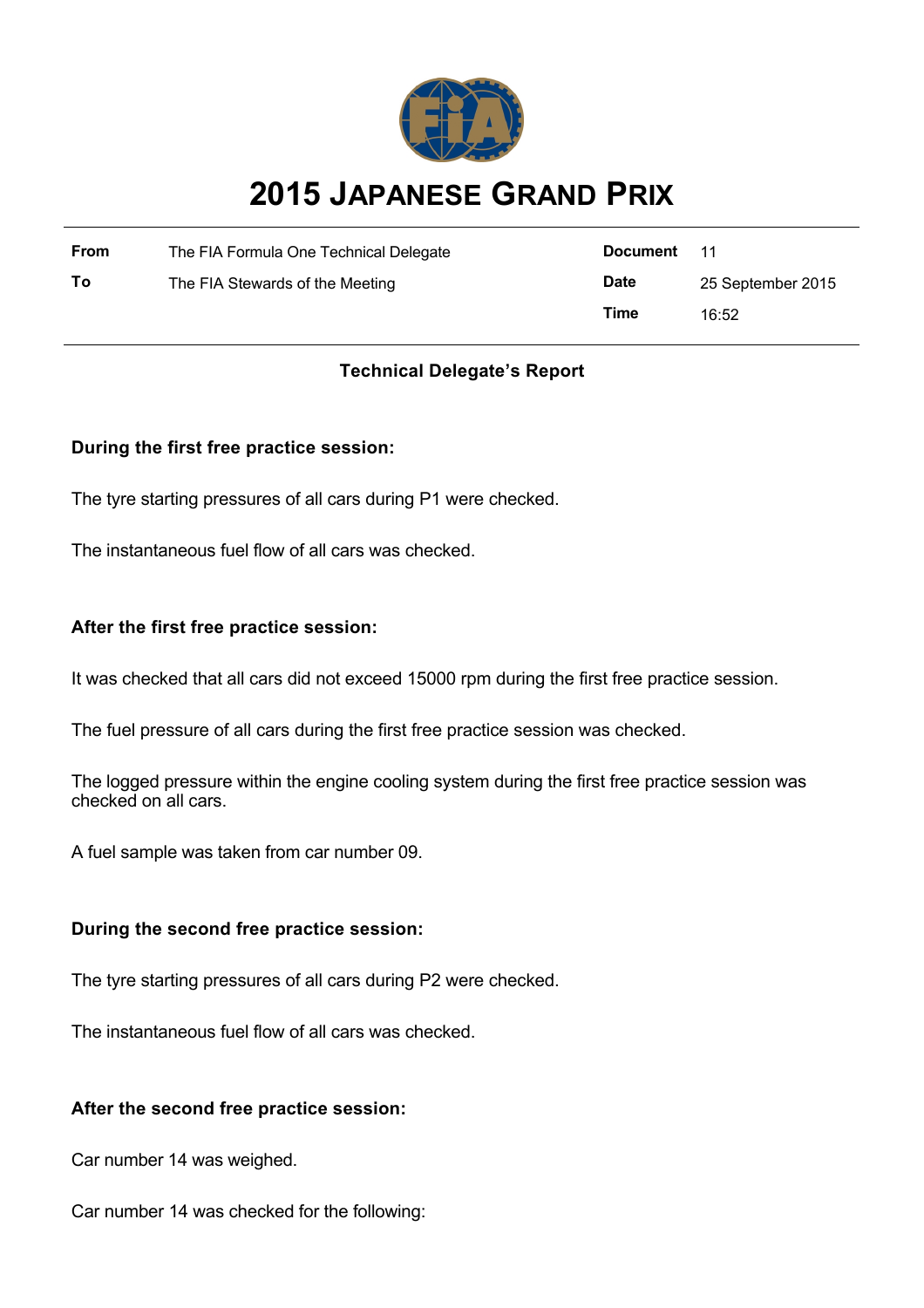

# **2015 JAPANESE GRAND PRIX**

| From | The FIA Formula One Technical Delegate | Document    | - 11              |
|------|----------------------------------------|-------------|-------------------|
| Τo   | The FIA Stewards of the Meeting        | <b>Date</b> | 25 September 2015 |
|      |                                        | Time        | 16:52             |

# **Technical Delegate's Report**

## **During the first free practice session:**

The tyre starting pressures of all cars during P1 were checked.

The instantaneous fuel flow of all cars was checked.

#### **After the first free practice session:**

It was checked that all cars did not exceed 15000 rpm during the first free practice session.

The fuel pressure of all cars during the first free practice session was checked.

The logged pressure within the engine cooling system during the first free practice session was checked on all cars.

A fuel sample was taken from car number 09.

#### **During the second free practice session:**

The tyre starting pressures of all cars during P2 were checked.

The instantaneous fuel flow of all cars was checked.

#### **After the second free practice session:**

Car number 14 was weighed.

Car number 14 was checked for the following: